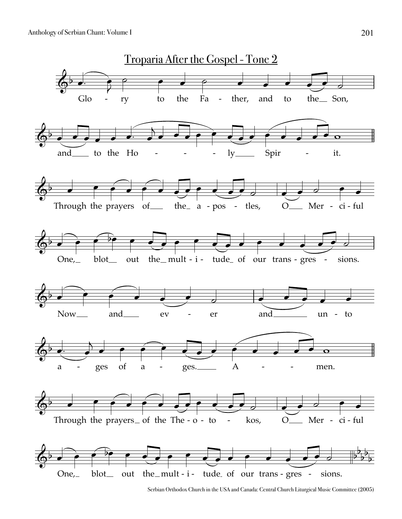Anthology of Serbian Chant: Volume I



Serbian Orthodox Church in the USA and Canada: Central Church Liturgical Music Committee (2005)